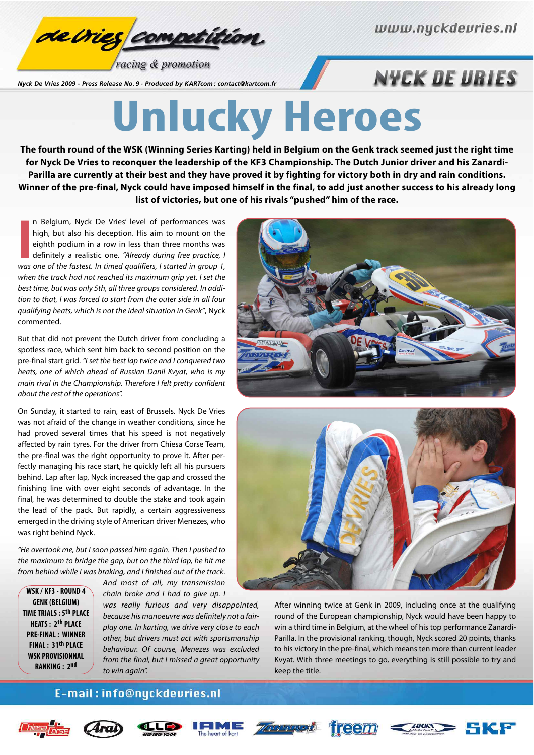

racing & promotion

*Nyck De Vries 2009 - Press Release No. 9 - Produced by KARTcom : contact@kartcom.fr*

## **NYCK DE URIES**

# **Unlucky Heroes**

**The fourth round of the WSK (Winning Series Karting) held in Belgium on the Genk track seemed just the right time for Nyck De Vries to reconquer the leadership of the KF3 Championship. The Dutch Junior driver and his Zanardi-Parilla are currently at their best and they have proved it by fighting for victory both in dry and rain conditions. Winner of the pre-final, Nyck could have imposed himself in the final, to add just another success to his already long list of victories, but one of his rivals "pushed" him of the race.**

**II** Belgium, Nyck De Vries' level of performances was high, but also his deception. His aim to mount on the eighth podium in a row in less than three months was definitely a realistic one. "Already during free practice, I n Belgium, Nyck De Vries' level of performances was high, but also his deception. His aim to mount on the eighth podium in a row in less than three months was definitely a realistic one. "Already during free practice, I when the track had not reached its maximum grip yet. I set the best time, but was only 5th, all three groups considered. In addition to that, I was forced to start from the outer side in all four qualifying heats, which is not the ideal situation in Genk", Nyck commented.

But that did not prevent the Dutch driver from concluding a spotless race, which sent him back to second position on the pre-final start grid. "I set the best lap twice and I conquered two heats, one of which ahead of Russian Danil Kvyat, who is my main rival in the Championship. Therefore I felt pretty confident about the rest of the operations".

On Sunday, it started to rain, east of Brussels. Nyck De Vries was not afraid of the change in weather conditions, since he had proved several times that his speed is not negatively affected by rain tyres. For the driver from Chiesa Corse Team, the pre-final was the right opportunity to prove it. After perfectly managing his race start, he quickly left all his pursuers behind. Lap after lap, Nyck increased the gap and crossed the finishing line with over eight seconds of advantage. In the final, he was determined to double the stake and took again the lead of the pack. But rapidly, a certain aggressiveness emerged in the driving style of American driver Menezes, who was right behind Nyck.

"He overtook me, but I soon passed him again. Then I pushed to the maximum to bridge the gap, but on the third lap, he hit me from behind while I was braking, and I finished out of the track.

**WSK / KF3 - ROUND 4 GENK (BELGIUM) TIME TRIALS : 5th PLACE HEATS : 2th PLACE PRE-FINAL : WINNER FINAL : 31th PLACE WSK PROVISIONNAL RANKING : 2nd**

And most of all, my transmission chain broke and I had to give up. I was really furious and very disappointed, because his manoeuvre was definitely not a fair-

play one. In karting, we drive very close to each other, but drivers must act with sportsmanship behaviour. Of course, Menezes was excluded from the final, but I missed a great opportunity to win again".





After winning twice at Genk in 2009, including once at the qualifying round of the European championship, Nyck would have been happy to win a third time in Belgium, at the wheel of his top performance Zanardi-Parilla. In the provisional ranking, though, Nyck scored 20 points, thanks to his victory in the pre-final, which means ten more than current leader Kvyat. With three meetings to go, everything is still possible to try and keep the title.

#### E-mail: info@nyckdevries.nl